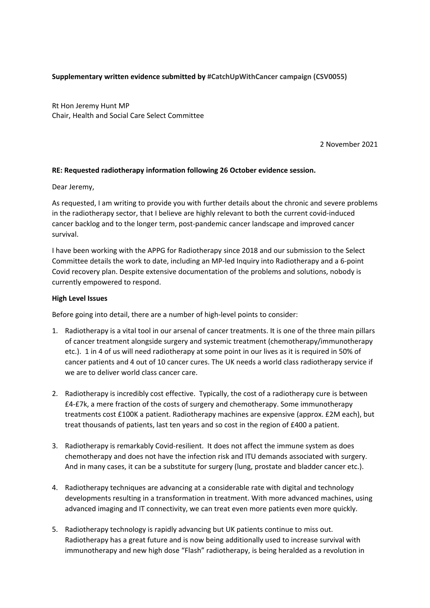## **Supplementary written evidence submitted by #CatchUpWithCancer campaign (CSV0055)**

Rt Hon Jeremy Hunt MP Chair, Health and Social Care Select Committee

2 November 2021

### **RE: Requested radiotherapy information following 26 October evidence session.**

Dear Jeremy,

As requested, I am writing to provide you with further details about the chronic and severe problems in the radiotherapy sector, that I believe are highly relevant to both the current covid-induced cancer backlog and to the longer term, post-pandemic cancer landscape and improved cancer survival.

I have been working with the APPG for Radiotherapy since 2018 and our submission to the Select Committee details the work to date, including an MP-led Inquiry into Radiotherapy and a 6-point Covid recovery plan. Despite extensive documentation of the problems and solutions, nobody is currently empowered to respond.

### **High Level Issues**

Before going into detail, there are a number of high-level points to consider:

- 1. Radiotherapy is a vital tool in our arsenal of cancer treatments. It is one of the three main pillars of cancer treatment alongside surgery and systemic treatment (chemotherapy/immunotherapy etc.). 1 in 4 of us will need radiotherapy at some point in our lives as it is required in 50% of cancer patients and 4 out of 10 cancer cures. The UK needs a world class radiotherapy service if we are to deliver world class cancer care.
- 2. Radiotherapy is incredibly cost effective. Typically, the cost of a radiotherapy cure is between £4-£7k, a mere fraction of the costs of surgery and chemotherapy. Some immunotherapy treatments cost £100K a patient. Radiotherapy machines are expensive (approx. £2M each), but treat thousands of patients, last ten years and so cost in the region of £400 a patient.
- 3. Radiotherapy is remarkably Covid-resilient. It does not affect the immune system as does chemotherapy and does not have the infection risk and ITU demands associated with surgery. And in many cases, it can be a substitute for surgery (lung, prostate and bladder cancer etc.).
- 4. Radiotherapy techniques are advancing at a considerable rate with digital and technology developments resulting in a transformation in treatment. With more advanced machines, using advanced imaging and IT connectivity, we can treat even more patients even more quickly.
- 5. Radiotherapy technology is rapidly advancing but UK patients continue to miss out. Radiotherapy has a great future and is now being additionally used to increase survival with immunotherapy and new high dose "Flash" radiotherapy, is being heralded as a revolution in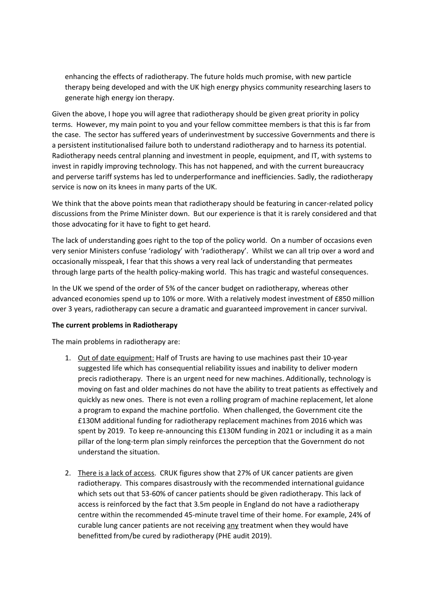enhancing the effects of radiotherapy. The future holds much promise, with new particle therapy being developed and with the UK high energy physics community researching lasers to generate high energy ion therapy.

Given the above, I hope you will agree that radiotherapy should be given great priority in policy terms. However, my main point to you and your fellow committee members is that this is far from the case. The sector has suffered years of underinvestment by successive Governments and there is a persistent institutionalised failure both to understand radiotherapy and to harness its potential. Radiotherapy needs central planning and investment in people, equipment, and IT, with systems to invest in rapidly improving technology. This has not happened, and with the current bureaucracy and perverse tariff systems has led to underperformance and inefficiencies. Sadly, the radiotherapy service is now on its knees in many parts of the UK.

We think that the above points mean that radiotherapy should be featuring in cancer-related policy discussions from the Prime Minister down. But our experience is that it is rarely considered and that those advocating for it have to fight to get heard.

The lack of understanding goes right to the top of the policy world. On a number of occasions even very senior Ministers confuse 'radiology' with 'radiotherapy'. Whilst we can all trip over a word and occasionally misspeak, I fear that this shows a very real lack of understanding that permeates through large parts of the health policy-making world. This has tragic and wasteful consequences.

In the UK we spend of the order of 5% of the cancer budget on radiotherapy, whereas other advanced economies spend up to 10% or more. With a relatively modest investment of £850 million over 3 years, radiotherapy can secure a dramatic and guaranteed improvement in cancer survival.

### **The current problems in Radiotherapy**

The main problems in radiotherapy are:

- 1. Out of date equipment: Half of Trusts are having to use machines past their 10-year suggested life which has consequential reliability issues and inability to deliver modern precis radiotherapy. There is an urgent need for new machines. Additionally, technology is moving on fast and older machines do not have the ability to treat patients as effectively and quickly as new ones. There is not even a rolling program of machine replacement, let alone a program to expand the machine portfolio. When challenged, the Government cite the £130M additional funding for radiotherapy replacement machines from 2016 which was spent by 2019. To keep re-announcing this £130M funding in 2021 or including it as a main pillar of the long-term plan simply reinforces the perception that the Government do not understand the situation.
- 2. There is a lack of access. CRUK figures show that 27% of UK cancer patients are given radiotherapy. This compares disastrously with the recommended international guidance which sets out that 53-60% of cancer patients should be given radiotherapy. This lack of access is reinforced by the fact that 3.5m people in England do not have a radiotherapy centre within the recommended 45-minute travel time of their home. For example, 24% of curable lung cancer patients are not receiving any treatment when they would have benefitted from/be cured by radiotherapy (PHE audit 2019).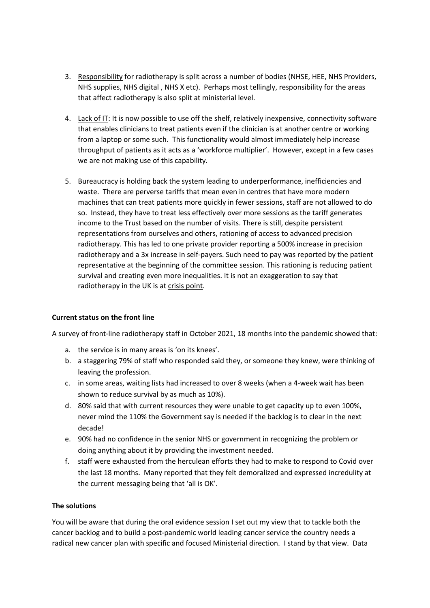- 3. Responsibility for radiotherapy is split across a number of bodies (NHSE, HEE, NHS Providers, NHS supplies, NHS digital , NHS X etc). Perhaps most tellingly, responsibility for the areas that affect radiotherapy is also split at ministerial level.
- 4. Lack of IT: It is now possible to use off the shelf, relatively inexpensive, connectivity software that enables clinicians to treat patients even if the clinician is at another centre or working from a laptop or some such. This functionality would almost immediately help increase throughput of patients as it acts as a 'workforce multiplier'. However, except in a few cases we are not making use of this capability.
- 5. Bureaucracy is holding back the system leading to underperformance, inefficiencies and waste. There are perverse tariffs that mean even in centres that have more modern machines that can treat patients more quickly in fewer sessions, staff are not allowed to do so. Instead, they have to treat less effectively over more sessions as the tariff generates income to the Trust based on the number of visits. There is still, despite persistent representations from ourselves and others, rationing of access to advanced precision radiotherapy. This has led to one private provider reporting a 500% increase in precision radiotherapy and a 3x increase in self-payers. Such need to pay was reported by the patient representative at the beginning of the committee session. This rationing is reducing patient survival and creating even more inequalities. It is not an exaggeration to say that radiotherapy in the UK is at crisis point.

# **Current status on the front line**

A survey of front-line radiotherapy staff in October 2021, 18 months into the pandemic showed that:

- a. the service is in many areas is 'on its knees'.
- b. a staggering 79% of staff who responded said they, or someone they knew, were thinking of leaving the profession.
- c. in some areas, waiting lists had increased to over 8 weeks (when a 4-week wait has been shown to reduce survival by as much as 10%).
- d. 80% said that with current resources they were unable to get capacity up to even 100%, never mind the 110% the Government say is needed if the backlog is to clear in the next decade!
- e. 90% had no confidence in the senior NHS or government in recognizing the problem or doing anything about it by providing the investment needed.
- f. staff were exhausted from the herculean efforts they had to make to respond to Covid over the last 18 months. Many reported that they felt demoralized and expressed incredulity at the current messaging being that 'all is OK'.

## **The solutions**

You will be aware that during the oral evidence session I set out my view that to tackle both the cancer backlog and to build a post-pandemic world leading cancer service the country needs a radical new cancer plan with specific and focused Ministerial direction. I stand by that view. Data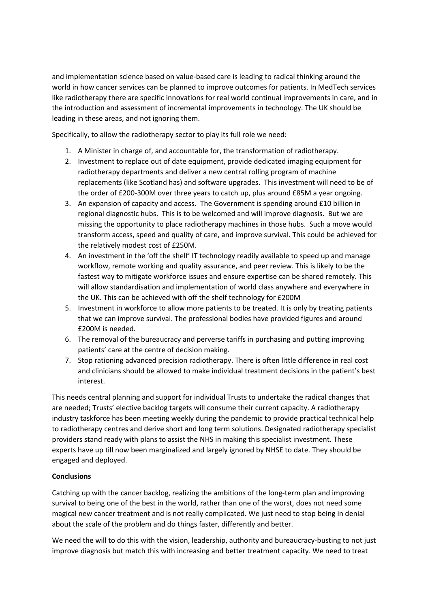and implementation science based on value-based care is leading to radical thinking around the world in how cancer services can be planned to improve outcomes for patients. In MedTech services like radiotherapy there are specific innovations for real world continual improvements in care, and in the introduction and assessment of incremental improvements in technology. The UK should be leading in these areas, and not ignoring them.

Specifically, to allow the radiotherapy sector to play its full role we need:

- 1. A Minister in charge of, and accountable for, the transformation of radiotherapy.
- 2. Investment to replace out of date equipment, provide dedicated imaging equipment for radiotherapy departments and deliver a new central rolling program of machine replacements (like Scotland has) and software upgrades. This investment will need to be of the order of £200-300M over three years to catch up, plus around £85M a year ongoing.
- 3. An expansion of capacity and access. The Government is spending around £10 billion in regional diagnostic hubs. This is to be welcomed and will improve diagnosis. But we are missing the opportunity to place radiotherapy machines in those hubs. Such a move would transform access, speed and quality of care, and improve survival. This could be achieved for the relatively modest cost of £250M.
- 4. An investment in the 'off the shelf' IT technology readily available to speed up and manage workflow, remote working and quality assurance, and peer review. This is likely to be the fastest way to mitigate workforce issues and ensure expertise can be shared remotely. This will allow standardisation and implementation of world class anywhere and everywhere in the UK. This can be achieved with off the shelf technology for £200M
- 5. Investment in workforce to allow more patients to be treated. It is only by treating patients that we can improve survival. The professional bodies have provided figures and around £200M is needed.
- 6. The removal of the bureaucracy and perverse tariffs in purchasing and putting improving patients' care at the centre of decision making.
- 7. Stop rationing advanced precision radiotherapy. There is often little difference in real cost and clinicians should be allowed to make individual treatment decisions in the patient's best interest.

This needs central planning and support for individual Trusts to undertake the radical changes that are needed; Trusts' elective backlog targets will consume their current capacity. A radiotherapy industry taskforce has been meeting weekly during the pandemic to provide practical technical help to radiotherapy centres and derive short and long term solutions. Designated radiotherapy specialist providers stand ready with plans to assist the NHS in making this specialist investment. These experts have up till now been marginalized and largely ignored by NHSE to date. They should be engaged and deployed.

### **Conclusions**

Catching up with the cancer backlog, realizing the ambitions of the long-term plan and improving survival to being one of the best in the world, rather than one of the worst, does not need some magical new cancer treatment and is not really complicated. We just need to stop being in denial about the scale of the problem and do things faster, differently and better.

We need the will to do this with the vision, leadership, authority and bureaucracy-busting to not just improve diagnosis but match this with increasing and better treatment capacity. We need to treat